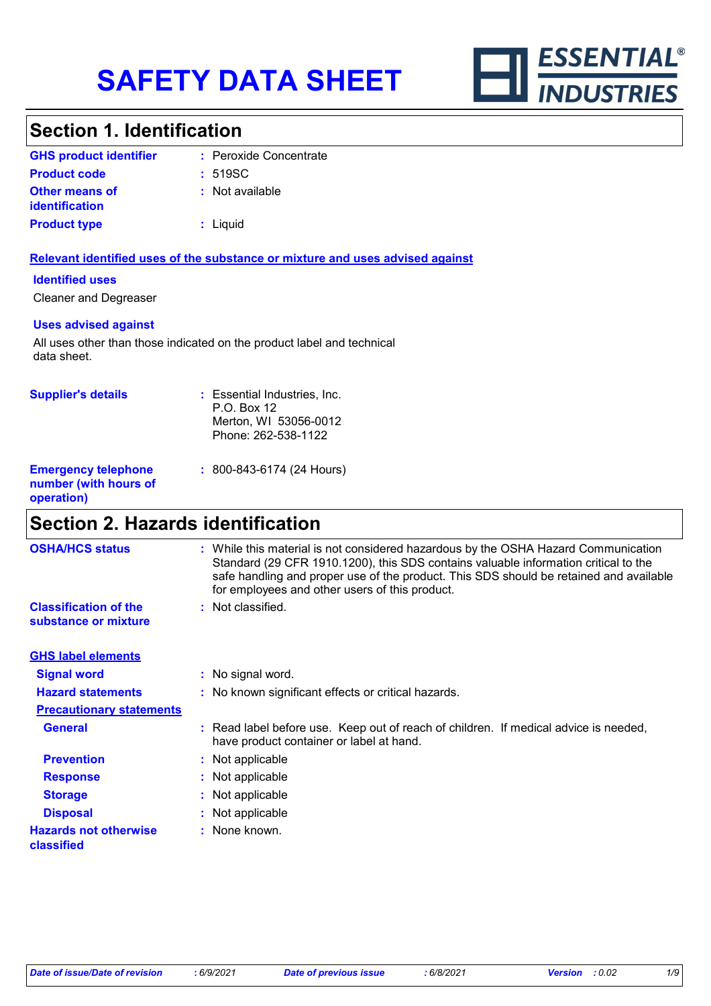

# **Section 1. Identification**

| <b>GHS product identifier</b>                  | : Peroxide Concentrate |
|------------------------------------------------|------------------------|
| <b>Product code</b>                            | : 519SC                |
| <b>Other means of</b><br><i>identification</i> | : Not available        |
| <b>Product type</b>                            | $:$ Liquid             |

#### **Relevant identified uses of the substance or mixture and uses advised against**

#### **Identified uses**

Cleaner and Degreaser

#### **Uses advised against**

All uses other than those indicated on the product label and technical data sheet.

| <b>Supplier's details</b>                                         | : Essential Industries, Inc.<br>P.O. Box 12<br>Merton, WI 53056-0012<br>Phone: 262-538-1122 |
|-------------------------------------------------------------------|---------------------------------------------------------------------------------------------|
| <b>Emergency telephone</b><br>number (with hours of<br>operation) | $: 800 - 843 - 6174$ (24 Hours)                                                             |

### **Section 2. Hazards identification**

| <b>OSHA/HCS status</b>                               | : While this material is not considered hazardous by the OSHA Hazard Communication<br>Standard (29 CFR 1910.1200), this SDS contains valuable information critical to the<br>safe handling and proper use of the product. This SDS should be retained and available<br>for employees and other users of this product. |
|------------------------------------------------------|-----------------------------------------------------------------------------------------------------------------------------------------------------------------------------------------------------------------------------------------------------------------------------------------------------------------------|
| <b>Classification of the</b><br>substance or mixture | : Not classified.                                                                                                                                                                                                                                                                                                     |
| <b>GHS label elements</b>                            |                                                                                                                                                                                                                                                                                                                       |
| <b>Signal word</b>                                   | : No signal word.                                                                                                                                                                                                                                                                                                     |
| <b>Hazard statements</b>                             | : No known significant effects or critical hazards.                                                                                                                                                                                                                                                                   |
| <b>Precautionary statements</b>                      |                                                                                                                                                                                                                                                                                                                       |
| <b>General</b>                                       | : Read label before use. Keep out of reach of children. If medical advice is needed,<br>have product container or label at hand.                                                                                                                                                                                      |
| <b>Prevention</b>                                    | : Not applicable                                                                                                                                                                                                                                                                                                      |
| <b>Response</b>                                      | : Not applicable                                                                                                                                                                                                                                                                                                      |
| <b>Storage</b>                                       | : Not applicable                                                                                                                                                                                                                                                                                                      |
| <b>Disposal</b>                                      | : Not applicable                                                                                                                                                                                                                                                                                                      |
| <b>Hazards not otherwise</b><br>classified           | : None known.                                                                                                                                                                                                                                                                                                         |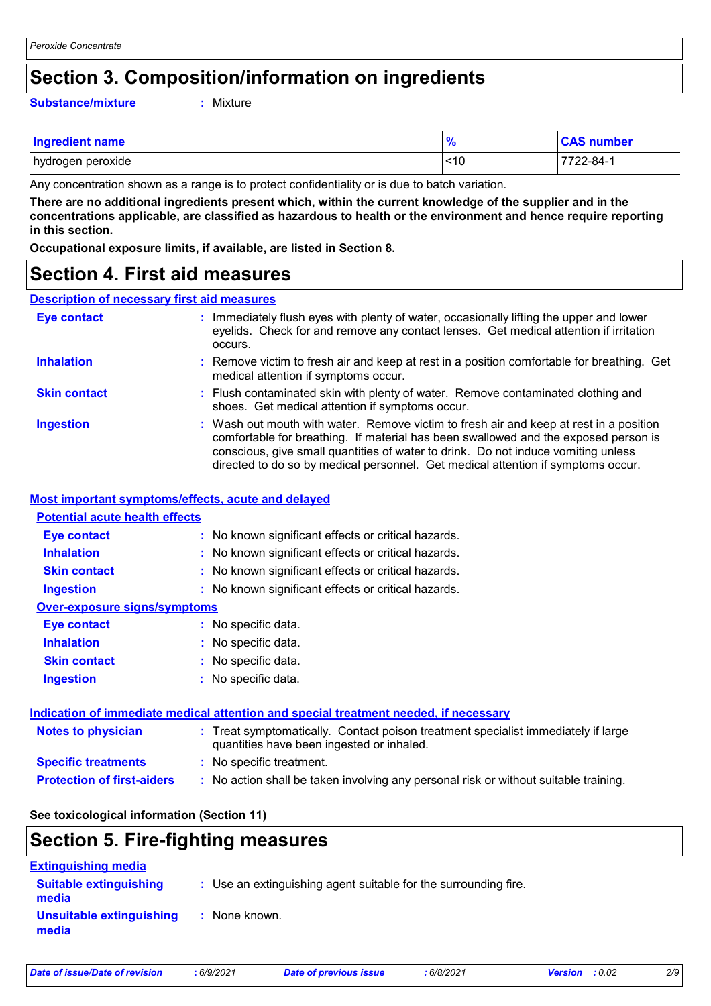### **Section 3. Composition/information on ingredients**

#### **Substance/mixture :**

: Mixture

| <b>Ingredient name</b> | $\frac{9}{6}$ | <b>CAS number</b> |
|------------------------|---------------|-------------------|
| hydrogen peroxide      | ~10           | $7722 - 84 - 1$   |

Any concentration shown as a range is to protect confidentiality or is due to batch variation.

**There are no additional ingredients present which, within the current knowledge of the supplier and in the concentrations applicable, are classified as hazardous to health or the environment and hence require reporting in this section.**

**Occupational exposure limits, if available, are listed in Section 8.**

### **Section 4. First aid measures**

### **Description of necessary first aid measures**

| <b>Eye contact</b>  | : Immediately flush eyes with plenty of water, occasionally lifting the upper and lower<br>eyelids. Check for and remove any contact lenses. Get medical attention if irritation<br>occurs.                                                                                                                                                            |
|---------------------|--------------------------------------------------------------------------------------------------------------------------------------------------------------------------------------------------------------------------------------------------------------------------------------------------------------------------------------------------------|
| <b>Inhalation</b>   | : Remove victim to fresh air and keep at rest in a position comfortable for breathing. Get<br>medical attention if symptoms occur.                                                                                                                                                                                                                     |
| <b>Skin contact</b> | : Flush contaminated skin with plenty of water. Remove contaminated clothing and<br>shoes. Get medical attention if symptoms occur.                                                                                                                                                                                                                    |
| <b>Ingestion</b>    | : Wash out mouth with water. Remove victim to fresh air and keep at rest in a position<br>comfortable for breathing. If material has been swallowed and the exposed person is<br>conscious, give small quantities of water to drink. Do not induce vomiting unless<br>directed to do so by medical personnel. Get medical attention if symptoms occur. |

#### **Most important symptoms/effects, acute and delayed**

| <b>Potential acute health effects</b> |                                                                                      |
|---------------------------------------|--------------------------------------------------------------------------------------|
| <b>Eye contact</b>                    | : No known significant effects or critical hazards.                                  |
| <b>Inhalation</b>                     | : No known significant effects or critical hazards.                                  |
| <b>Skin contact</b>                   | : No known significant effects or critical hazards.                                  |
| <b>Ingestion</b>                      | : No known significant effects or critical hazards.                                  |
| <b>Over-exposure signs/symptoms</b>   |                                                                                      |
| <b>Eye contact</b>                    | : No specific data.                                                                  |
| <b>Inhalation</b>                     | : No specific data.                                                                  |
| <b>Skin contact</b>                   | : No specific data.                                                                  |
| <b>Ingestion</b>                      | : No specific data.                                                                  |
|                                       |                                                                                      |
|                                       | Indication of immediate medical attention and special treatment needed, if necessary |

| <b>Notes to physician</b>         | : Treat symptomatically. Contact poison treatment specialist immediately if large<br>quantities have been ingested or inhaled. |
|-----------------------------------|--------------------------------------------------------------------------------------------------------------------------------|
| <b>Specific treatments</b>        | : No specific treatment.                                                                                                       |
| <b>Protection of first-aiders</b> | : No action shall be taken involving any personal risk or without suitable training.                                           |

#### **See toxicological information (Section 11)**

### **Section 5. Fire-fighting measures**

| <b>Extinguishing media</b>             |                                                                 |
|----------------------------------------|-----------------------------------------------------------------|
| <b>Suitable extinguishing</b><br>media | : Use an extinguishing agent suitable for the surrounding fire. |
| Unsuitable extinguishing<br>media      | None known.                                                     |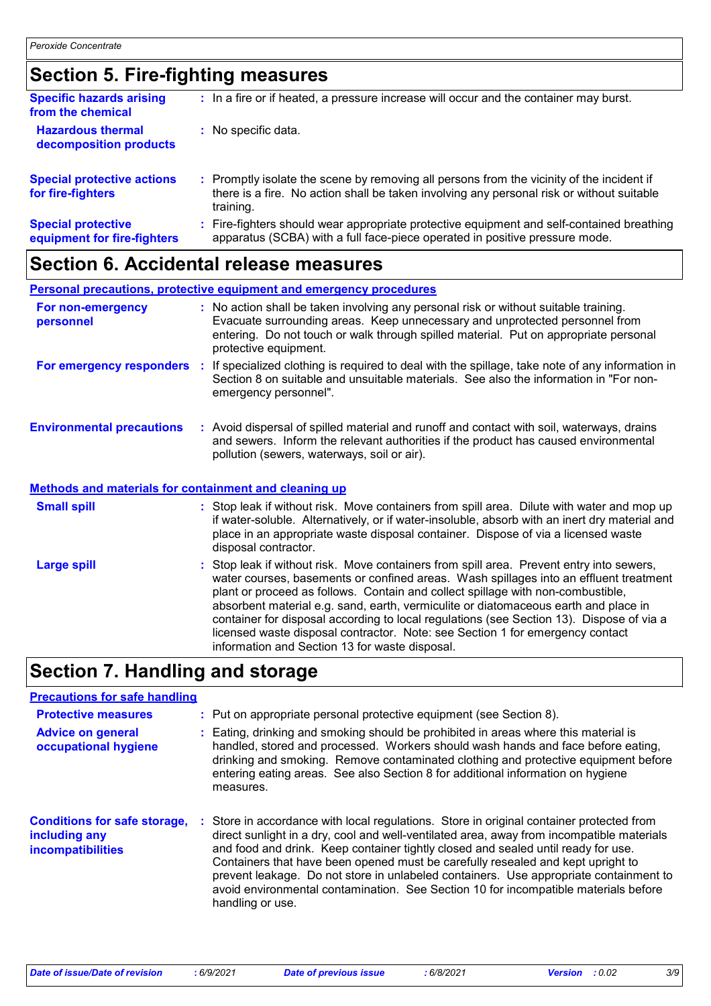# **Section 5. Fire-fighting measures**

| <b>Specific hazards arising</b><br>from the chemical     | : In a fire or if heated, a pressure increase will occur and the container may burst.                                                                                                               |
|----------------------------------------------------------|-----------------------------------------------------------------------------------------------------------------------------------------------------------------------------------------------------|
| <b>Hazardous thermal</b><br>decomposition products       | : No specific data.                                                                                                                                                                                 |
| <b>Special protective actions</b><br>for fire-fighters   | : Promptly isolate the scene by removing all persons from the vicinity of the incident if<br>there is a fire. No action shall be taken involving any personal risk or without suitable<br>training. |
| <b>Special protective</b><br>equipment for fire-fighters | : Fire-fighters should wear appropriate protective equipment and self-contained breathing<br>apparatus (SCBA) with a full face-piece operated in positive pressure mode.                            |

# **Section 6. Accidental release measures**

|                                                              | <b>Personal precautions, protective equipment and emergency procedures</b>                                                                                                                                                                                                           |
|--------------------------------------------------------------|--------------------------------------------------------------------------------------------------------------------------------------------------------------------------------------------------------------------------------------------------------------------------------------|
| For non-emergency<br>personnel                               | : No action shall be taken involving any personal risk or without suitable training.<br>Evacuate surrounding areas. Keep unnecessary and unprotected personnel from<br>entering. Do not touch or walk through spilled material. Put on appropriate personal<br>protective equipment. |
| For emergency responders                                     | : If specialized clothing is required to deal with the spillage, take note of any information in<br>Section 8 on suitable and unsuitable materials. See also the information in "For non-<br>emergency personnel".                                                                   |
| <b>Environmental precautions</b>                             | : Avoid dispersal of spilled material and runoff and contact with soil, waterways, drains<br>and sewers. Inform the relevant authorities if the product has caused environmental<br>pollution (sewers, waterways, soil or air).                                                      |
| <b>Methods and materials for containment and cleaning up</b> |                                                                                                                                                                                                                                                                                      |
| <b>Small spill</b>                                           | : Stop leak if without risk. Move containers from spill area. Dilute with water and mop up<br>if water-soluble. Alternatively, or if water-insoluble, absorb with an inert dry material and<br>place in an appropriate waste disposal container. Dispose of via a licensed waste     |

|                    | disposal contractor.                                                                                                                                                                                                                                                                                                                                                                                                                                                                                                                                                                       |
|--------------------|--------------------------------------------------------------------------------------------------------------------------------------------------------------------------------------------------------------------------------------------------------------------------------------------------------------------------------------------------------------------------------------------------------------------------------------------------------------------------------------------------------------------------------------------------------------------------------------------|
| <b>Large spill</b> | : Stop leak if without risk. Move containers from spill area. Prevent entry into sewers,<br>water courses, basements or confined areas. Wash spillages into an effluent treatment<br>plant or proceed as follows. Contain and collect spillage with non-combustible,<br>absorbent material e.g. sand, earth, vermiculite or diatomaceous earth and place in<br>container for disposal according to local regulations (see Section 13). Dispose of via a<br>licensed waste disposal contractor. Note: see Section 1 for emergency contact<br>information and Section 13 for waste disposal. |

# **Section 7. Handling and storage**

### **Precautions for safe handling**

| <b>Protective measures</b>                                                       |    | : Put on appropriate personal protective equipment (see Section 8).                                                                                                                                                                                                                                                                                                                                                                                                                                                                                             |
|----------------------------------------------------------------------------------|----|-----------------------------------------------------------------------------------------------------------------------------------------------------------------------------------------------------------------------------------------------------------------------------------------------------------------------------------------------------------------------------------------------------------------------------------------------------------------------------------------------------------------------------------------------------------------|
| <b>Advice on general</b><br>occupational hygiene                                 |    | : Eating, drinking and smoking should be prohibited in areas where this material is<br>handled, stored and processed. Workers should wash hands and face before eating,<br>drinking and smoking. Remove contaminated clothing and protective equipment before<br>entering eating areas. See also Section 8 for additional information on hygiene<br>measures.                                                                                                                                                                                                   |
| <b>Conditions for safe storage,</b><br>including any<br><b>incompatibilities</b> | ÷. | Store in accordance with local regulations. Store in original container protected from<br>direct sunlight in a dry, cool and well-ventilated area, away from incompatible materials<br>and food and drink. Keep container tightly closed and sealed until ready for use.<br>Containers that have been opened must be carefully resealed and kept upright to<br>prevent leakage. Do not store in unlabeled containers. Use appropriate containment to<br>avoid environmental contamination. See Section 10 for incompatible materials before<br>handling or use. |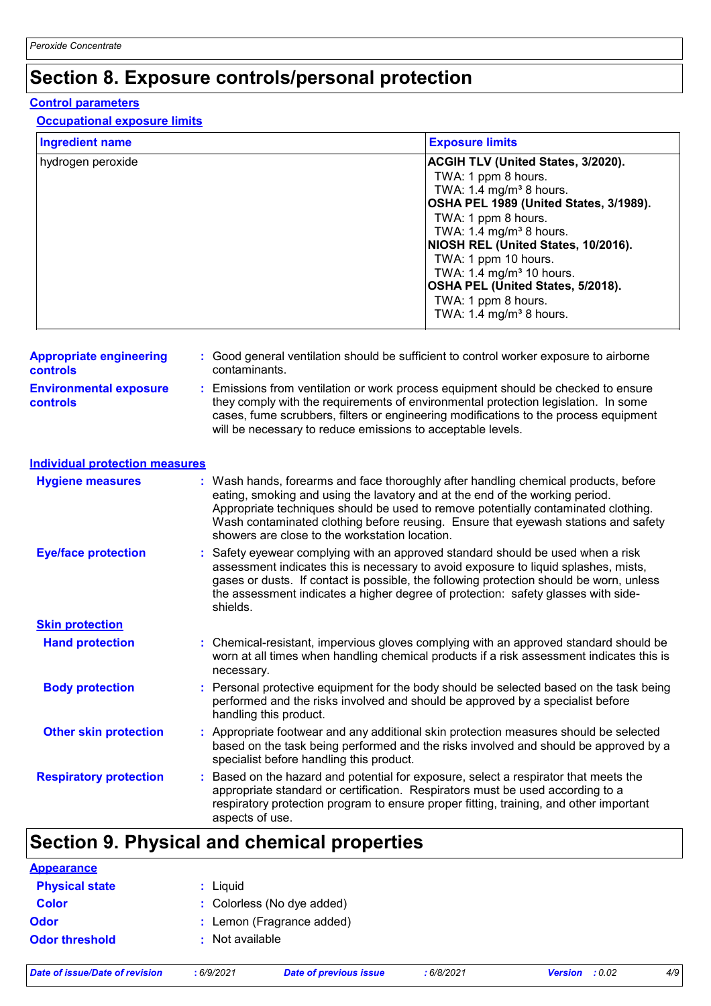# **Section 8. Exposure controls/personal protection**

#### **Control parameters**

### **Occupational exposure limits**

| <b>Ingredient name</b>                            | <b>Exposure limits</b>                                                                                                                                                                                                                                                                                                                                                                                            |  |  |
|---------------------------------------------------|-------------------------------------------------------------------------------------------------------------------------------------------------------------------------------------------------------------------------------------------------------------------------------------------------------------------------------------------------------------------------------------------------------------------|--|--|
| hydrogen peroxide                                 | ACGIH TLV (United States, 3/2020).<br>TWA: 1 ppm 8 hours.<br>TWA: 1.4 mg/m <sup>3</sup> 8 hours.<br>OSHA PEL 1989 (United States, 3/1989).<br>TWA: 1 ppm 8 hours.<br>TWA: 1.4 mg/m <sup>3</sup> 8 hours.<br>NIOSH REL (United States, 10/2016).<br>TWA: 1 ppm 10 hours.<br>TWA: $1.4 \text{ mg/m}^3$ 10 hours.<br>OSHA PEL (United States, 5/2018).<br>TWA: 1 ppm 8 hours.<br>TWA: 1.4 mg/m <sup>3</sup> 8 hours. |  |  |
| <b>Appropriate engineering</b><br><b>controls</b> | : Good general ventilation should be sufficient to control worker exposure to airborne<br>contaminants.                                                                                                                                                                                                                                                                                                           |  |  |
| <b>Environmental exposure</b><br><b>controls</b>  | : Emissions from ventilation or work process equipment should be checked to ensure<br>they comply with the requirements of environmental protection legislation. In some<br>cases, fume scrubbers, filters or engineering modifications to the process equipment<br>will be necessary to reduce emissions to acceptable levels.                                                                                   |  |  |
| <b>Individual protection measures</b>             |                                                                                                                                                                                                                                                                                                                                                                                                                   |  |  |
| <b>Hygiene measures</b>                           | : Wash hands, forearms and face thoroughly after handling chemical products, before<br>eating, smoking and using the lavatory and at the end of the working period.<br>Appropriate techniques should be used to remove potentially contaminated clothing.<br>Wash contaminated clothing before reusing. Ensure that eyewash stations and safety<br>showers are close to the workstation location.                 |  |  |
| <b>Eye/face protection</b>                        | Safety eyewear complying with an approved standard should be used when a risk<br>assessment indicates this is necessary to avoid exposure to liquid splashes, mists,<br>gases or dusts. If contact is possible, the following protection should be worn, unless<br>the assessment indicates a higher degree of protection: safety glasses with side-<br>shields.                                                  |  |  |
| <b>Skin protection</b>                            |                                                                                                                                                                                                                                                                                                                                                                                                                   |  |  |
| <b>Hand protection</b>                            | : Chemical-resistant, impervious gloves complying with an approved standard should be<br>worn at all times when handling chemical products if a risk assessment indicates this is<br>necessary.                                                                                                                                                                                                                   |  |  |
| <b>Body protection</b>                            | : Personal protective equipment for the body should be selected based on the task being<br>performed and the risks involved and should be approved by a specialist before<br>handling this product.                                                                                                                                                                                                               |  |  |
| <b>Other skin protection</b>                      | : Appropriate footwear and any additional skin protection measures should be selected<br>based on the task being performed and the risks involved and should be approved by a<br>specialist before handling this product.                                                                                                                                                                                         |  |  |
| <b>Respiratory protection</b>                     | Based on the hazard and potential for exposure, select a respirator that meets the<br>appropriate standard or certification. Respirators must be used according to a<br>respiratory protection program to ensure proper fitting, training, and other important<br>aspects of use.                                                                                                                                 |  |  |

### **Section 9. Physical and chemical properties**

| <b>Appearance</b>     |                            |
|-----------------------|----------------------------|
| <b>Physical state</b> | : Liquid                   |
| <b>Color</b>          | : Colorless (No dye added) |
| <b>Odor</b>           | : Lemon (Fragrance added)  |
| <b>Odor threshold</b> | : Not available            |
|                       |                            |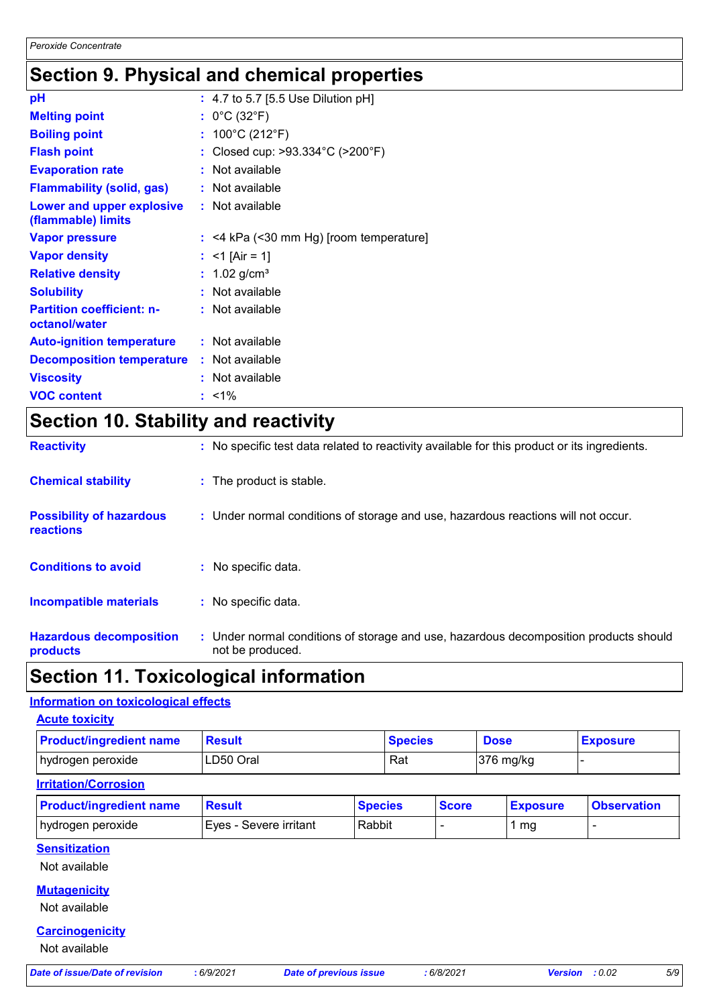# **Section 9. Physical and chemical properties**

| pH                                                |    | : 4.7 to 5.7 [5.5 Use Dilution pH]    |
|---------------------------------------------------|----|---------------------------------------|
| <b>Melting point</b>                              |    | : $0^{\circ}$ C (32 $^{\circ}$ F)     |
| <b>Boiling point</b>                              |    | : $100^{\circ}$ C (212 $^{\circ}$ F)  |
| <b>Flash point</b>                                |    | Closed cup: >93.334°C (>200°F)        |
| <b>Evaporation rate</b>                           |    | Not available                         |
| <b>Flammability (solid, gas)</b>                  |    | Not available                         |
| Lower and upper explosive<br>(flammable) limits   |    | : Not available                       |
| <b>Vapor pressure</b>                             | ÷. | <4 kPa (<30 mm Hg) [room temperature] |
| <b>Vapor density</b>                              |    | $<$ 1 [Air = 1]                       |
| <b>Relative density</b>                           |    | 1.02 $g/cm^{3}$                       |
| <b>Solubility</b>                                 |    | Not available                         |
| <b>Partition coefficient: n-</b><br>octanol/water |    | : Not available                       |
| <b>Auto-ignition temperature</b>                  |    | : Not available                       |
| <b>Decomposition temperature</b>                  |    | : Not available                       |
| <b>Viscosity</b>                                  |    | Not available                         |
| <b>VOC content</b>                                |    | $: 1\%$                               |

# **Section 10. Stability and reactivity**

| <b>Hazardous decomposition</b><br>products          | : Under normal conditions of storage and use, hazardous decomposition products should<br>not be produced. |
|-----------------------------------------------------|-----------------------------------------------------------------------------------------------------------|
| Incompatible materials                              | : No specific data.                                                                                       |
| <b>Conditions to avoid</b>                          | : No specific data.                                                                                       |
| <b>Possibility of hazardous</b><br><b>reactions</b> | : Under normal conditions of storage and use, hazardous reactions will not occur.                         |
| <b>Chemical stability</b>                           | : The product is stable.                                                                                  |
| <b>Reactivity</b>                                   | : No specific test data related to reactivity available for this product or its ingredients.              |

## **Section 11. Toxicological information**

### **Information on toxicological effects**

| <b>Acute toxicity</b>                   |                        |                               |                |                 |                                 |
|-----------------------------------------|------------------------|-------------------------------|----------------|-----------------|---------------------------------|
| <b>Product/ingredient name</b>          | <b>Result</b>          |                               | <b>Species</b> | <b>Dose</b>     | <b>Exposure</b>                 |
| hydrogen peroxide                       | LD50 Oral              |                               | Rat            | 376 mg/kg       |                                 |
| <b>Irritation/Corrosion</b>             |                        |                               |                |                 |                                 |
| <b>Product/ingredient name</b>          | <b>Result</b>          | <b>Species</b>                | <b>Score</b>   | <b>Exposure</b> | <b>Observation</b>              |
| hydrogen peroxide                       | Eyes - Severe irritant | Rabbit                        |                | 1 <sub>mg</sub> | $\blacksquare$                  |
| <b>Sensitization</b><br>Not available   |                        |                               |                |                 |                                 |
| <b>Mutagenicity</b><br>Not available    |                        |                               |                |                 |                                 |
| <b>Carcinogenicity</b><br>Not available |                        |                               |                |                 |                                 |
| <b>Date of issue/Date of revision</b>   | :6/9/2021              | <b>Date of previous issue</b> | :6/8/2021      |                 | 5/9<br>: 0.02<br><b>Version</b> |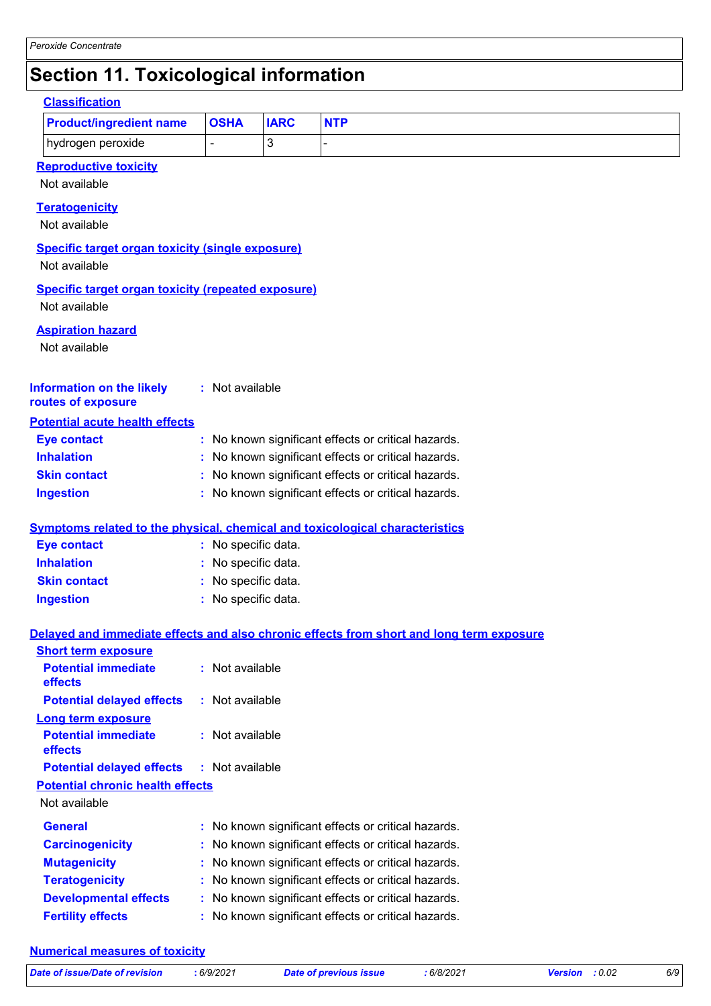# **Section 11. Toxicological information**

| <b>Classification</b>                                                               |                                                     |                     |                |                                                                                          |  |
|-------------------------------------------------------------------------------------|-----------------------------------------------------|---------------------|----------------|------------------------------------------------------------------------------------------|--|
| <b>Product/ingredient name</b>                                                      |                                                     | <b>OSHA</b>         | <b>IARC</b>    | <b>NTP</b>                                                                               |  |
| hydrogen peroxide                                                                   |                                                     | ä,                  | $\mathfrak{B}$ |                                                                                          |  |
| <b>Reproductive toxicity</b><br>Not available                                       |                                                     |                     |                |                                                                                          |  |
| <b>Teratogenicity</b><br>Not available                                              |                                                     |                     |                |                                                                                          |  |
| <b>Specific target organ toxicity (single exposure)</b><br>Not available            |                                                     |                     |                |                                                                                          |  |
| <b>Specific target organ toxicity (repeated exposure)</b><br>Not available          |                                                     |                     |                |                                                                                          |  |
| <b>Aspiration hazard</b><br>Not available                                           |                                                     |                     |                |                                                                                          |  |
| <b>Information on the likely</b><br>routes of exposure                              |                                                     | : Not available     |                |                                                                                          |  |
| <b>Potential acute health effects</b>                                               |                                                     |                     |                |                                                                                          |  |
| <b>Eye contact</b>                                                                  |                                                     |                     |                | : No known significant effects or critical hazards.                                      |  |
| <b>Inhalation</b>                                                                   | : No known significant effects or critical hazards. |                     |                |                                                                                          |  |
| <b>Skin contact</b>                                                                 | : No known significant effects or critical hazards. |                     |                |                                                                                          |  |
| <b>Ingestion</b>                                                                    |                                                     |                     |                | : No known significant effects or critical hazards.                                      |  |
| <b>Symptoms related to the physical, chemical and toxicological characteristics</b> |                                                     |                     |                |                                                                                          |  |
| <b>Eye contact</b>                                                                  |                                                     | : No specific data. |                |                                                                                          |  |
| <b>Inhalation</b>                                                                   |                                                     | No specific data.   |                |                                                                                          |  |
| <b>Skin contact</b>                                                                 |                                                     | No specific data.   |                |                                                                                          |  |
| <b>Ingestion</b>                                                                    |                                                     | : No specific data. |                |                                                                                          |  |
|                                                                                     |                                                     |                     |                | Delayed and immediate effects and also chronic effects from short and long term exposure |  |
| <b>Short term exposure</b>                                                          |                                                     |                     |                |                                                                                          |  |
| <b>Potential immediate</b><br>effects                                               |                                                     | : Not available     |                |                                                                                          |  |
| <b>Potential delayed effects</b>                                                    |                                                     | : Not available     |                |                                                                                          |  |
| Long term exposure<br><b>Potential immediate</b><br>effects                         |                                                     | : Not available     |                |                                                                                          |  |
| <b>Potential delayed effects</b>                                                    |                                                     | : Not available     |                |                                                                                          |  |
| <b>Potential chronic health effects</b><br>Not available                            |                                                     |                     |                |                                                                                          |  |
| <b>General</b>                                                                      |                                                     |                     |                | : No known significant effects or critical hazards.                                      |  |
| <b>Carcinogenicity</b>                                                              |                                                     |                     |                | : No known significant effects or critical hazards.                                      |  |
| <b>Mutagenicity</b>                                                                 | : No known significant effects or critical hazards. |                     |                |                                                                                          |  |
| <b>Teratogenicity</b>                                                               | : No known significant effects or critical hazards. |                     |                |                                                                                          |  |
| <b>Developmental effects</b>                                                        |                                                     |                     |                | : No known significant effects or critical hazards.                                      |  |
| <b>Fertility effects</b>                                                            |                                                     |                     |                | : No known significant effects or critical hazards.                                      |  |
|                                                                                     |                                                     |                     |                |                                                                                          |  |

### **Numerical measures of toxicity**

| Date of issue/Date of revision | :6/9/2021 |
|--------------------------------|-----------|
|                                |           |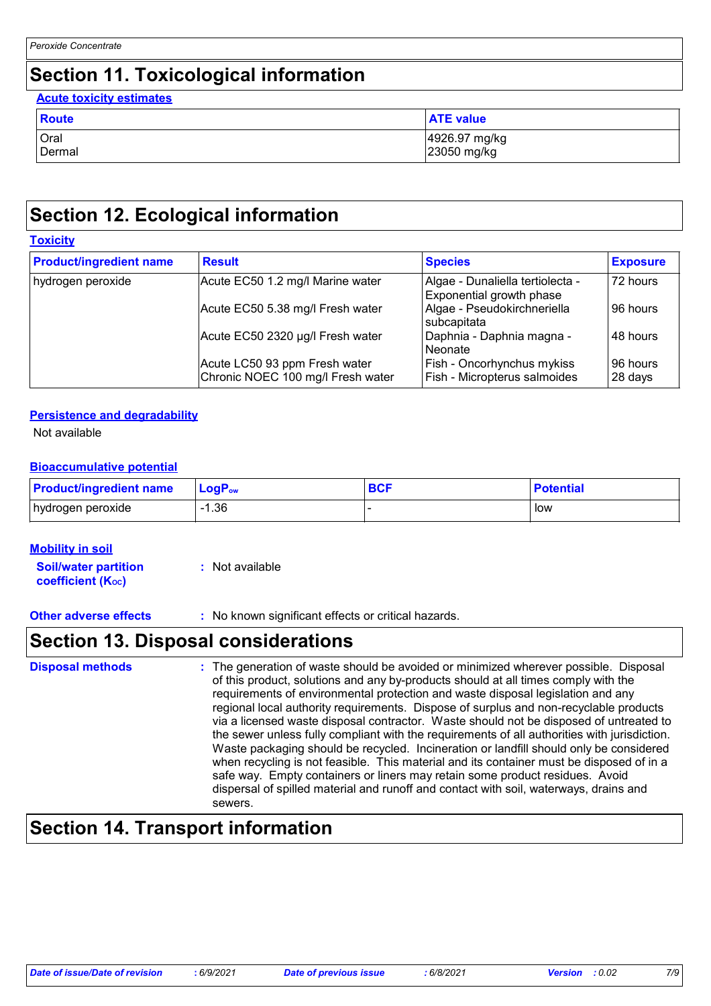# **Section 11. Toxicological information**

### Oral 1926.97 mg/kg<br>Dermal 1926.97 mg/kg<br>23050 mg/kg 23050 mg/kg **Route ATE** value **Acute toxicity estimates**

# **Section 12. Ecological information**

### **Toxicity**

| <b>Product/ingredient name</b> | <b>Result</b>                                                      | <b>Species</b>                                               | <b>Exposure</b>     |
|--------------------------------|--------------------------------------------------------------------|--------------------------------------------------------------|---------------------|
| hydrogen peroxide              | Acute EC50 1.2 mg/l Marine water                                   | Algae - Dunaliella tertiolecta -<br>Exponential growth phase | 72 hours            |
|                                | Acute EC50 5.38 mg/l Fresh water                                   | Algae - Pseudokirchneriella<br>subcapitata                   | 96 hours            |
|                                | Acute EC50 2320 µg/l Fresh water                                   | Daphnia - Daphnia magna -<br>Neonate                         | 48 hours            |
|                                | Acute LC50 93 ppm Fresh water<br>Chronic NOEC 100 mg/l Fresh water | Fish - Oncorhynchus mykiss<br>Fish - Micropterus salmoides   | 96 hours<br>28 days |

### **Persistence and degradability**

Not available

### **Bioaccumulative potential**

| <b>Product/ingredient name</b> | $\mathsf{LogP}_\mathsf{ow}$ | <b>BCF</b> | <b>Potential</b> |
|--------------------------------|-----------------------------|------------|------------------|
| hydrogen peroxide              | .36                         |            | low              |

### **Mobility in soil**

**Soil/water partition coefficient (Koc) :** Not available

**Other adverse effects** : No known significant effects or critical hazards.

### **Section 13. Disposal considerations**

| <b>Disposal methods</b> | : The generation of waste should be avoided or minimized wherever possible. Disposal<br>of this product, solutions and any by-products should at all times comply with the<br>requirements of environmental protection and waste disposal legislation and any<br>regional local authority requirements. Dispose of surplus and non-recyclable products<br>via a licensed waste disposal contractor. Waste should not be disposed of untreated to<br>the sewer unless fully compliant with the requirements of all authorities with jurisdiction.<br>Waste packaging should be recycled. Incineration or landfill should only be considered<br>when recycling is not feasible. This material and its container must be disposed of in a<br>safe way. Empty containers or liners may retain some product residues. Avoid<br>dispersal of spilled material and runoff and contact with soil, waterways, drains and<br>sewers. |
|-------------------------|----------------------------------------------------------------------------------------------------------------------------------------------------------------------------------------------------------------------------------------------------------------------------------------------------------------------------------------------------------------------------------------------------------------------------------------------------------------------------------------------------------------------------------------------------------------------------------------------------------------------------------------------------------------------------------------------------------------------------------------------------------------------------------------------------------------------------------------------------------------------------------------------------------------------------|
|-------------------------|----------------------------------------------------------------------------------------------------------------------------------------------------------------------------------------------------------------------------------------------------------------------------------------------------------------------------------------------------------------------------------------------------------------------------------------------------------------------------------------------------------------------------------------------------------------------------------------------------------------------------------------------------------------------------------------------------------------------------------------------------------------------------------------------------------------------------------------------------------------------------------------------------------------------------|

## **Section 14. Transport information**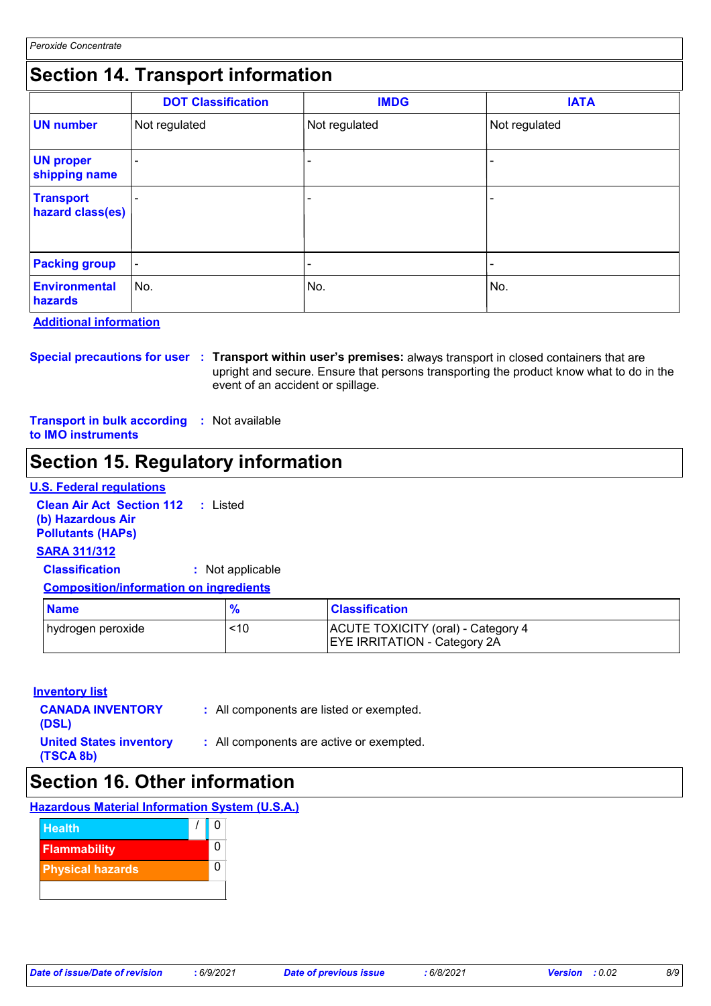## **Section 14. Transport information**

|                                      | <b>DOT Classification</b> | <b>IMDG</b>   | <b>IATA</b>              |
|--------------------------------------|---------------------------|---------------|--------------------------|
| <b>UN number</b>                     | Not regulated             | Not regulated | Not regulated            |
| <b>UN proper</b><br>shipping name    |                           | -             |                          |
| <b>Transport</b><br>hazard class(es) |                           | -             |                          |
| <b>Packing group</b>                 | $\blacksquare$            | -             | $\overline{\phantom{a}}$ |
| <b>Environmental</b><br>hazards      | No.                       | No.           | No.                      |

#### **Additional information**

**Special precautions for user Transport within user's premises:** always transport in closed containers that are **:** upright and secure. Ensure that persons transporting the product know what to do in the event of an accident or spillage.

**Transport in bulk according :** Not available **to IMO instruments**

# **Section 15. Regulatory information**

### **U.S. Federal regulations**

**Clean Air Act Section 112 :** Listed **(b) Hazardous Air Pollutants (HAPs)**

### **SARA 311/312**

**Classification :** Not applicable

### **Composition/information on ingredients**

| <b>Name</b>        |     | <b>Classification</b>                                                     |
|--------------------|-----|---------------------------------------------------------------------------|
| ∣hydrogen peroxide | <10 | ACUTE TOXICITY (oral) - Category 4<br><b>EYE IRRITATION - Category 2A</b> |

### **Inventory list**

| <b>CANADA INVENTORY</b><br>(DSL)            | : All components are listed or exempted. |
|---------------------------------------------|------------------------------------------|
| <b>United States inventory</b><br>(TSCA 8b) | : All components are active or exempted. |

### **Section 16. Other information**

### **Hazardous Material Information System (U.S.A.)**